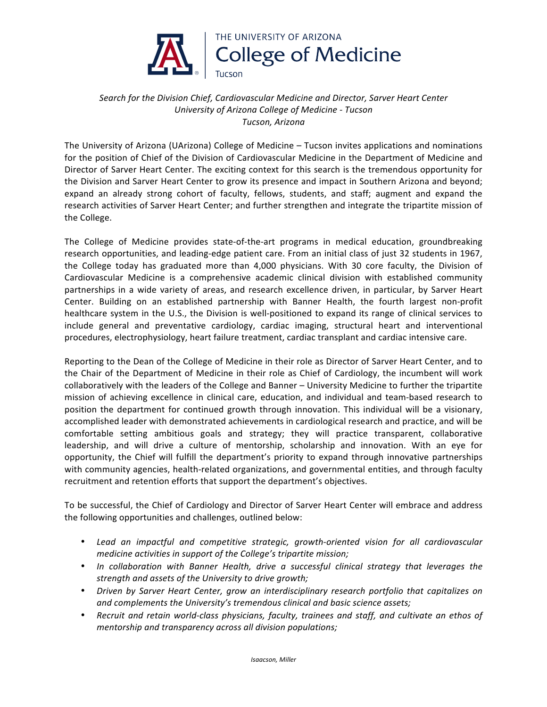

## *Search for the Division Chief, Cardiovascular Medicine and Director, Sarver Heart Center University of Arizona College of Medicine - Tucson Tucson, Arizona*

The University of Arizona (UArizona) College of Medicine - Tucson invites applications and nominations for the position of Chief of the Division of Cardiovascular Medicine in the Department of Medicine and Director of Sarver Heart Center. The exciting context for this search is the tremendous opportunity for the Division and Sarver Heart Center to grow its presence and impact in Southern Arizona and beyond; expand an already strong cohort of faculty, fellows, students, and staff; augment and expand the research activities of Sarver Heart Center; and further strengthen and integrate the tripartite mission of the College.

The College of Medicine provides state-of-the-art programs in medical education, groundbreaking research opportunities, and leading-edge patient care. From an initial class of just 32 students in 1967, the College today has graduated more than 4,000 physicians. With 30 core faculty, the Division of Cardiovascular Medicine is a comprehensive academic clinical division with established community partnerships in a wide variety of areas, and research excellence driven, in particular, by Sarver Heart Center. Building on an established partnership with Banner Health, the fourth largest non-profit healthcare system in the U.S., the Division is well-positioned to expand its range of clinical services to include general and preventative cardiology, cardiac imaging, structural heart and interventional procedures, electrophysiology, heart failure treatment, cardiac transplant and cardiac intensive care.

Reporting to the Dean of the College of Medicine in their role as Director of Sarver Heart Center, and to the Chair of the Department of Medicine in their role as Chief of Cardiology, the incumbent will work collaboratively with the leaders of the College and Banner – University Medicine to further the tripartite mission of achieving excellence in clinical care, education, and individual and team-based research to position the department for continued growth through innovation. This individual will be a visionary, accomplished leader with demonstrated achievements in cardiological research and practice, and will be comfortable setting ambitious goals and strategy; they will practice transparent, collaborative leadership, and will drive a culture of mentorship, scholarship and innovation. With an eye for opportunity, the Chief will fulfill the department's priority to expand through innovative partnerships with community agencies, health-related organizations, and governmental entities, and through faculty recruitment and retention efforts that support the department's objectives.

To be successful, the Chief of Cardiology and Director of Sarver Heart Center will embrace and address the following opportunities and challenges, outlined below:

- Lead an *impactful and competitive strategic, growth-oriented vision for all cardiovascular medicine activities in support of the College's tripartite mission;*
- In collaboration with Banner Health, drive a successful clinical strategy that leverages the *strength and assets of the University to drive growth;*
- *Driven by Sarver Heart Center, grow an interdisciplinary research portfolio that capitalizes on*  and complements the University's tremendous clinical and basic science assets;
- Recruit and retain world-class physicians, faculty, trainees and staff, and cultivate an ethos of *mentorship* and transparency across all division populations;